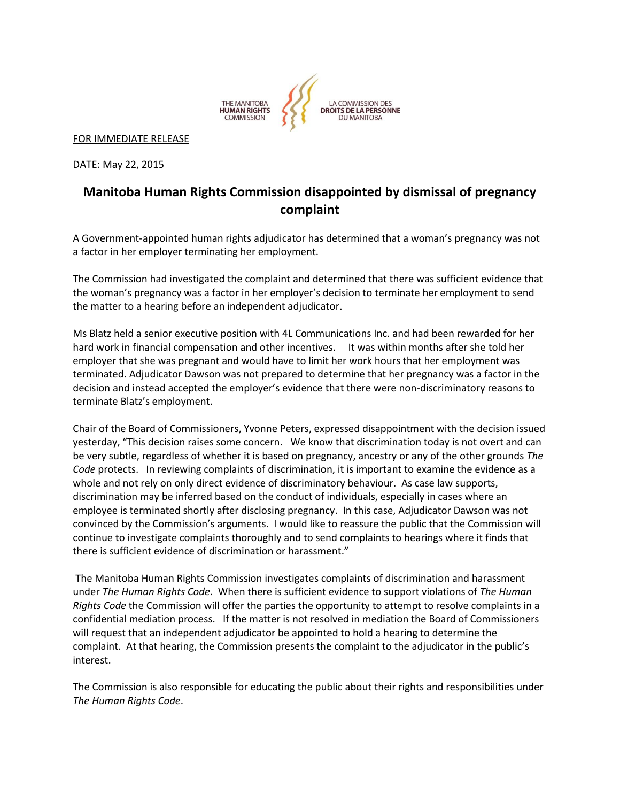

FOR IMMEDIATE RELEASE

DATE: May 22, 2015

## **Manitoba Human Rights Commission disappointed by dismissal of pregnancy complaint**

A Government-appointed human rights adjudicator has determined that a woman's pregnancy was not a factor in her employer terminating her employment.

The Commission had investigated the complaint and determined that there was sufficient evidence that the woman's pregnancy was a factor in her employer's decision to terminate her employment to send the matter to a hearing before an independent adjudicator.

Ms Blatz held a senior executive position with 4L Communications Inc. and had been rewarded for her hard work in financial compensation and other incentives. It was within months after she told her employer that she was pregnant and would have to limit her work hours that her employment was terminated. Adjudicator Dawson was not prepared to determine that her pregnancy was a factor in the decision and instead accepted the employer's evidence that there were non-discriminatory reasons to terminate Blatz's employment.

Chair of the Board of Commissioners, Yvonne Peters, expressed disappointment with the decision issued yesterday, "This decision raises some concern. We know that discrimination today is not overt and can be very subtle, regardless of whether it is based on pregnancy, ancestry or any of the other grounds *The Code* protects. In reviewing complaints of discrimination, it is important to examine the evidence as a whole and not rely on only direct evidence of discriminatory behaviour. As case law supports, discrimination may be inferred based on the conduct of individuals, especially in cases where an employee is terminated shortly after disclosing pregnancy. In this case, Adjudicator Dawson was not convinced by the Commission's arguments. I would like to reassure the public that the Commission will continue to investigate complaints thoroughly and to send complaints to hearings where it finds that there is sufficient evidence of discrimination or harassment."

The Manitoba Human Rights Commission investigates complaints of discrimination and harassment under *The Human Rights Code*. When there is sufficient evidence to support violations of *The Human Rights Code* the Commission will offer the parties the opportunity to attempt to resolve complaints in a confidential mediation process. If the matter is not resolved in mediation the Board of Commissioners will request that an independent adjudicator be appointed to hold a hearing to determine the complaint. At that hearing, the Commission presents the complaint to the adjudicator in the public's interest.

The Commission is also responsible for educating the public about their rights and responsibilities under *The Human Rights Code*.